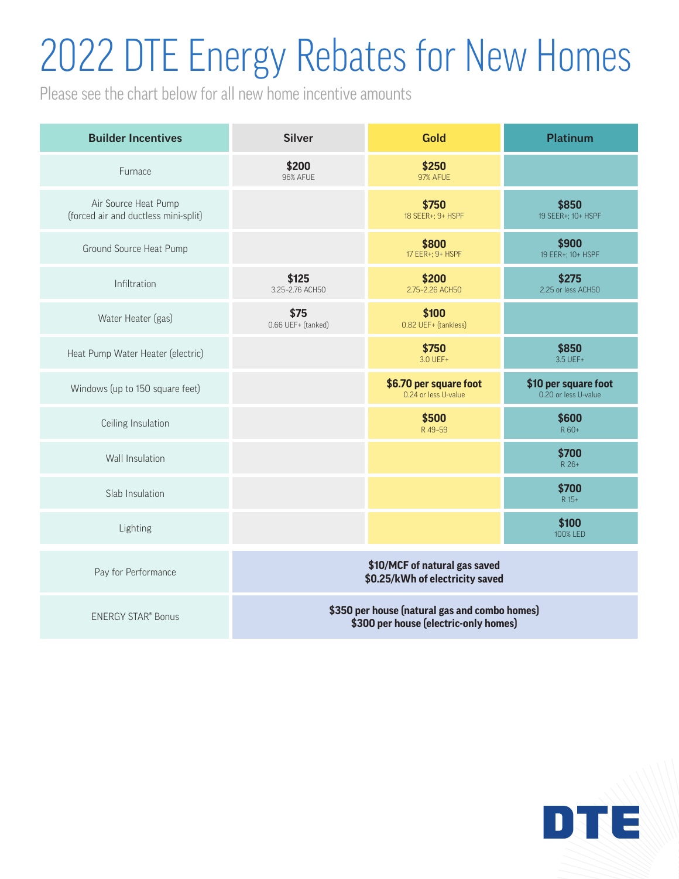## 2022 DTE Energy Rebates for New Homes

Please see the chart below for all new home incentive amounts

| <b>Builder Incentives</b>                                    | <b>Silver</b>                                                                          | <b>Gold</b>                                    | <b>Platinum</b>                              |
|--------------------------------------------------------------|----------------------------------------------------------------------------------------|------------------------------------------------|----------------------------------------------|
| Furnace                                                      | \$200<br><b>96% AFUE</b>                                                               | \$250<br><b>97% AFUE</b>                       |                                              |
| Air Source Heat Pump<br>(forced air and ductless mini-split) |                                                                                        | \$750<br>18 SEER+; 9+ HSPF                     | \$850<br>19 SEER+; 10+ HSPF                  |
| Ground Source Heat Pump                                      |                                                                                        | \$800<br>17 EER+; 9+ HSPF                      | \$900<br>19 EER+; 10+ HSPF                   |
| Infiltration                                                 | \$125<br>3.25-2.76 ACH50                                                               | \$200<br>2.75-2.26 ACH50                       | \$275<br>2.25 or less ACH50                  |
| Water Heater (gas)                                           | \$75<br>0.66 UEF+ (tanked)                                                             | \$100<br>0.82 UEF+ (tankless)                  |                                              |
| Heat Pump Water Heater (electric)                            |                                                                                        | \$750<br>3.0 UEF+                              | \$850<br>3.5 UEF+                            |
| Windows (up to 150 square feet)                              |                                                                                        | \$6.70 per square foot<br>0.24 or less U-value | \$10 per square foot<br>0.20 or less U-value |
| Ceiling Insulation                                           |                                                                                        | \$500<br>R49-59                                | \$600<br>R 60+                               |
| Wall Insulation                                              |                                                                                        |                                                | \$700<br>R 26+                               |
| Slab Insulation                                              |                                                                                        |                                                | \$700<br>R 15+                               |
| Lighting                                                     |                                                                                        |                                                | \$100<br>100% LED                            |
| Pay for Performance                                          | \$10/MCF of natural gas saved<br>\$0.25/kWh of electricity saved                       |                                                |                                              |
| <b>ENERGY STAR® Bonus</b>                                    | \$350 per house (natural gas and combo homes)<br>\$300 per house (electric-only homes) |                                                |                                              |

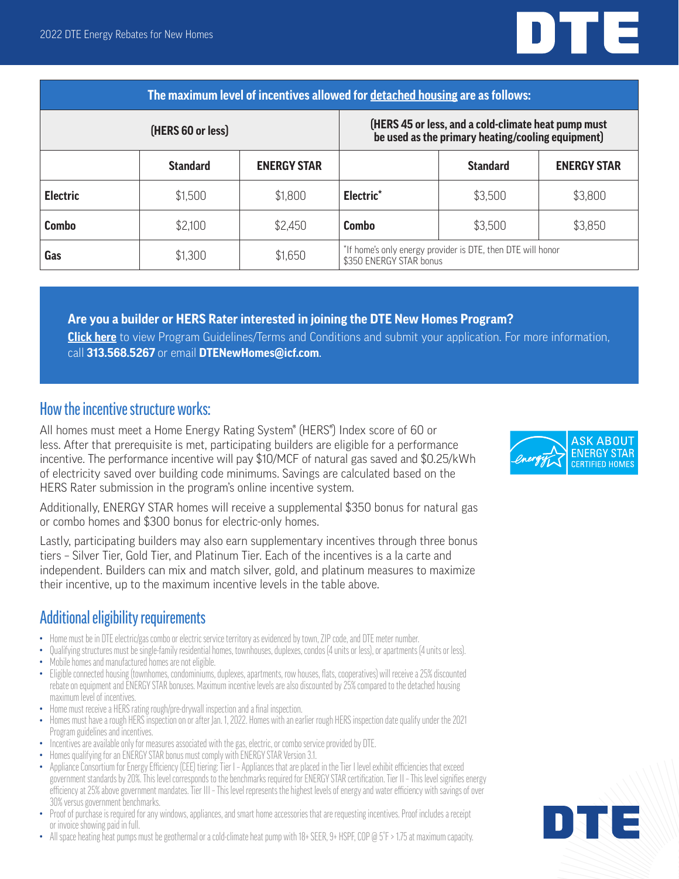

| The maximum level of incentives allowed for detached housing are as follows: |                 |                                                                                                          |                                                                                        |                 |                    |  |  |
|------------------------------------------------------------------------------|-----------------|----------------------------------------------------------------------------------------------------------|----------------------------------------------------------------------------------------|-----------------|--------------------|--|--|
| (HERS 60 or less)                                                            |                 | (HERS 45 or less, and a cold-climate heat pump must<br>be used as the primary heating/cooling equipment) |                                                                                        |                 |                    |  |  |
|                                                                              | <b>Standard</b> | <b>ENERGY STAR</b>                                                                                       |                                                                                        | <b>Standard</b> | <b>ENERGY STAR</b> |  |  |
| <b>Electric</b>                                                              | \$1,500         | \$1,800                                                                                                  | Electric <sup>*</sup>                                                                  | \$3,500         | \$3,800            |  |  |
| Combo                                                                        | \$2,100         | \$2,450                                                                                                  | Combo                                                                                  | \$3,500         | \$3,850            |  |  |
| Gas                                                                          | \$1,300         | \$1,650                                                                                                  | *If home's only energy provider is DTE, then DTE will honor<br>\$350 ENERGY STAR bonus |                 |                    |  |  |

#### **Are you a builder or HERS Rater interested in joining the DTE New Homes Program?**

**[Click here](http://dtenewhomes.programprocessing.com/)** to view Program Guidelines/Terms and Conditions and submit your application. For more information, call **313.568.5267** or email **[DTENewHomes@icf.com](mailto:DTENewHomes%40icf.com?subject=)**.

### How the incentive structure works:

All homes must meet a Home Energy Rating System® (HERS®) Index score of 60 or less. After that prerequisite is met, participating builders are eligible for a performance incentive. The performance incentive will pay \$10/MCF of natural gas saved and \$0.25/kWh of electricity saved over building code minimums. Savings are calculated based on the HERS Rater submission in the program's online incentive system.

Additionally, ENERGY STAR homes will receive a supplemental \$350 bonus for natural gas or combo homes and \$300 bonus for electric-only homes.

Lastly, participating builders may also earn supplementary incentives through three bonus tiers – Silver Tier, Gold Tier, and Platinum Tier. Each of the incentives is a la carte and independent. Builders can mix and match silver, gold, and platinum measures to maximize their incentive, up to the maximum incentive levels in the table above.

### Additional eligibility requirements

- Home must be in DTE electric/gas combo or electric service territory as evidenced by town, ZIP code, and DTE meter number.
- Qualifying structures must be single-family residential homes, townhouses, duplexes, condos (4 units or less), or apartments (4 units or less). • Mobile homes and manufactured homes are not eligible.
- Eligible connected housing (townhomes, condominiums, duplexes, apartments, row houses, flats, cooperatives) will receive a 25% discounted rebate on equipment and ENERGY STAR bonuses. Maximum incentive levels are also discounted by 25% compared to the detached housing maximum level of incentives.
- Home must receive a HERS rating rough/pre-drywall inspection and a final inspection.
- Homes must have a rough HERS inspection on or after Jan. 1, 2022. Homes with an earlier rough HERS inspection date qualify under the 2021 Program guidelines and incentives.
- Incentives are available only for measures associated with the gas, electric, or combo service provided by DTE.
- Homes qualifying for an ENERGY STAR bonus must comply with ENERGY STAR Version 3.1.
- Appliance Consortium for Energy Efficiency (CEE) tiering: Tier I Appliances that are placed in the Tier I level exhibit efficiencies that exceed government standards by 20%. This level corresponds to the benchmarks required for ENERGY STAR certification. Tier II – This level signifies energy efficiency at 25% above government mandates. Tier III – This level represents the highest levels of energy and water efficiency with savings of over 30% versus government benchmarks.
- Proof of purchase is required for any windows, appliances, and smart home accessories that are requesting incentives. Proof includes a receipt or invoice showing paid in full.
- All space heating heat pumps must be geothermal or a cold-climate heat pump with 18+ SEER, 9+ HSPF, COP @ 5°F > 1.75 at maximum capacity.